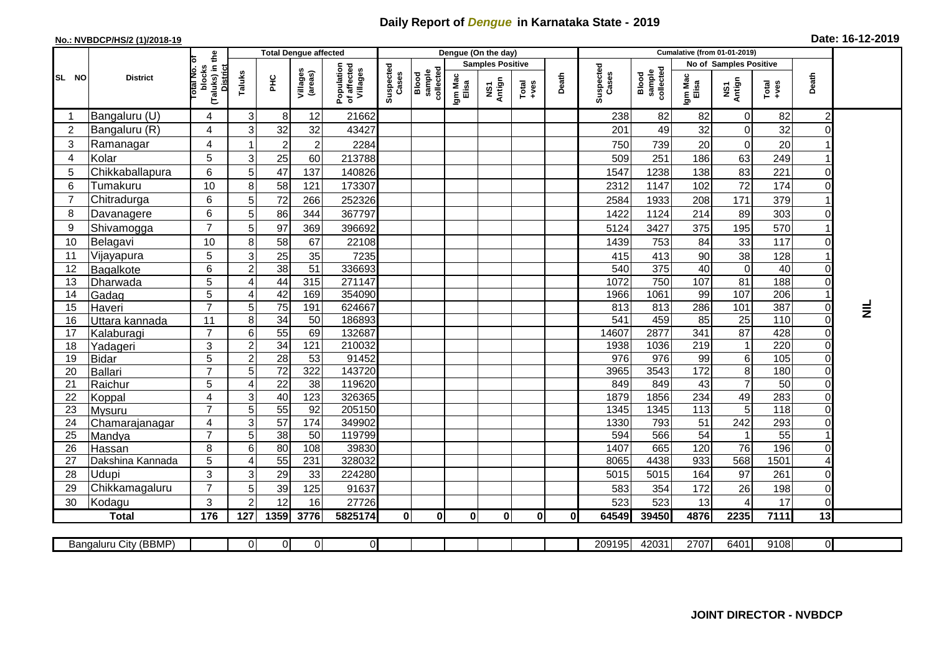## **Daily Report of** *Dengue* **in Karnataka State - 2019**

## **No.: NVBDCP/HS/2 (1)/2018-19 Date: 16-12-2019**

|                |                       |                                                          |                           |                 | <b>Total Dengue affected</b> |                                       |                    |                              | Dengue (On the day) |                         |                                                              |              |                    |                              |                  |                               |                 |                                 |                            |
|----------------|-----------------------|----------------------------------------------------------|---------------------------|-----------------|------------------------------|---------------------------------------|--------------------|------------------------------|---------------------|-------------------------|--------------------------------------------------------------|--------------|--------------------|------------------------------|------------------|-------------------------------|-----------------|---------------------------------|----------------------------|
|                |                       | ъ                                                        |                           |                 |                              |                                       |                    |                              |                     | <b>Samples Positive</b> |                                                              |              |                    |                              |                  | <b>No of Samples Positive</b> |                 |                                 |                            |
| SL NO          | <b>District</b>       | (Taluks) in the<br>otal No.<br>blocks<br><b>District</b> | Taluks                    | <b>PHC</b>      | Villages<br>(areas)          | Population<br>of affected<br>Villages | Suspected<br>Cases | collected<br>sample<br>Blood | Igm Mac<br>Elisa    | NS1<br>Antign           | $\begin{array}{c}\n\text{Total} \\ \text{Area}\n\end{array}$ | Death        | Suspected<br>Cases | sample<br>collected<br>Blood | Igm Mac<br>Elisa | NS1<br>Antign                 | Total<br>+ves   | Death                           |                            |
|                | Bangaluru (U)         | 4                                                        | 3                         | 8               | 12                           | 21662                                 |                    |                              |                     |                         |                                                              |              | 238                | 82                           | 82               | 0                             | 82              | $\overline{c}$                  |                            |
| 2              | Bangaluru (R)         | 4                                                        | 3                         | 32              | 32                           | 43427                                 |                    |                              |                     |                         |                                                              |              | 201                | 49                           | 32               | 0                             | 32              | $\Omega$                        |                            |
| 3              | Ramanagar             | 4                                                        |                           | $\overline{2}$  | $\overline{2}$               | 2284                                  |                    |                              |                     |                         |                                                              |              | 750                | 739                          | 20               | 0                             | 20              |                                 |                            |
| 4              | Kolar                 | 5                                                        | 3                         | 25              | 60                           | 213788                                |                    |                              |                     |                         |                                                              |              | 509                | 251                          | 186              | 63                            | 249             |                                 |                            |
| 5              | Chikkaballapura       | 6                                                        | 5                         | 47              | 137                          | 140826                                |                    |                              |                     |                         |                                                              |              | 1547               | 1238                         | 138              | 83                            | 221             | $\mathbf 0$                     |                            |
| 6              | Tumakuru              | 10                                                       | 8                         | 58              | 121                          | 173307                                |                    |                              |                     |                         |                                                              |              | 2312               | 1147                         | 102              | 72                            | 174             | 0                               |                            |
| $\overline{7}$ | Chitradurga           | $6\phantom{1}$                                           | 5                         | 72              | 266                          | 252326                                |                    |                              |                     |                         |                                                              |              | 2584               | 1933                         | 208              | 171                           | 379             |                                 |                            |
| 8              | Davanagere            | 6                                                        | 5                         | 86              | 344                          | 367797                                |                    |                              |                     |                         |                                                              |              | 1422               | 1124                         | 214              | 89                            | 303             | $\Omega$                        |                            |
| 9              | Shivamogga            | $\overline{7}$                                           | 5                         | 97              | 369                          | 396692                                |                    |                              |                     |                         |                                                              |              | 5124               | 3427                         | 375              | 195                           | 570             |                                 |                            |
| 10             | Belagavi              | 10                                                       | 8                         | 58              | 67                           | 22108                                 |                    |                              |                     |                         |                                                              |              | 1439               | 753                          | 84               | 33                            | 117             | $\Omega$                        |                            |
| 11             | Vijayapura            | 5                                                        | $\mathsf 3$               | 25              | 35                           | 7235                                  |                    |                              |                     |                         |                                                              |              | 415                | 413                          | 90               | 38                            | 128             |                                 |                            |
| 12             | Bagalkote             | 6                                                        | $\overline{c}$            | 38              | $\overline{51}$              | 336693                                |                    |                              |                     |                         |                                                              |              | 540                | 375                          | 40               | $\overline{0}$                | 40              | 0                               |                            |
| 13             | Dharwada              | 5                                                        | $\overline{\mathbf{4}}$   | 44              | 315                          | 271147                                |                    |                              |                     |                         |                                                              |              | 1072               | 750                          | 107              | $\overline{81}$               | 188             | 0                               |                            |
| 14             | Gadag                 | 5                                                        | 4                         | 42              | 169                          | 354090                                |                    |                              |                     |                         |                                                              |              | 1966               | 1061                         | 99               | 107                           | 206             |                                 |                            |
| 15             | Haveri                | $\overline{7}$                                           | 5                         | $\overline{75}$ | 191                          | 624667                                |                    |                              |                     |                         |                                                              |              | 813                | 813                          | 286              | 101                           | 387             | $\mathbf 0$                     | $\bar{\bar{{\mathsf{z}}}}$ |
| 16             | Uttara kannada        | 11                                                       | 8                         | 34              | 50                           | 186893                                |                    |                              |                     |                         |                                                              |              | 541                | 459                          | 85               | $\overline{25}$               | 110             | $\overline{0}$                  |                            |
| 17             | Kalaburagi            | $\overline{7}$                                           | 6                         | 55              | 69                           | 132687                                |                    |                              |                     |                         |                                                              |              | 14607              | 2877                         | 341              | $\overline{87}$               | 428             | 0                               |                            |
| 18             | Yadageri              | 3                                                        | $\overline{c}$            | 34              | 121                          | 210032                                |                    |                              |                     |                         |                                                              |              | 1938               | 1036                         | 219              | $\mathbf{1}$                  | 220             | $\mathbf 0$                     |                            |
| 19             | <b>Bidar</b>          | 5                                                        | $\sqrt{2}$                | 28              | 53                           | 91452                                 |                    |                              |                     |                         |                                                              |              | 976                | 976                          | 99               | 6                             | 105             | $\mathbf 0$                     |                            |
| 20             | <b>Ballari</b>        | $\overline{7}$                                           | $\sqrt{5}$                | $\overline{72}$ | 322                          | 143720                                |                    |                              |                     |                         |                                                              |              | 3965               | 3543                         | 172              | 8                             | 180             | 0                               |                            |
| 21             | Raichur               | 5                                                        | 4                         | $\overline{22}$ | 38                           | 119620                                |                    |                              |                     |                         |                                                              |              | 849                | 849                          | $\overline{43}$  | $\overline{7}$                | $\overline{50}$ | $\overline{0}$                  |                            |
| 22             | Koppal                | 4                                                        | $\ensuremath{\mathsf{3}}$ | 40              | 123                          | 326365                                |                    |                              |                     |                         |                                                              |              | 1879               | 1856                         | 234              | 49                            | 283             | 0                               |                            |
| 23             | <b>Mysuru</b>         | $\overline{7}$                                           | 5                         | 55              | 92                           | 205150                                |                    |                              |                     |                         |                                                              |              | 1345               | 1345                         | 113              | 5                             | 118             | 0                               |                            |
| 24             | Chamarajanagar        | 4<br>$\overline{7}$                                      | $\overline{3}$            | 57              | 174                          | 349902                                |                    |                              |                     |                         |                                                              |              | 1330               | 793                          | 51               | $\overline{242}$              | 293             | $\Omega$                        |                            |
| 25             | Mandya                |                                                          | 5                         | $\overline{38}$ | 50                           | 119799                                |                    |                              |                     |                         |                                                              |              | 594                | 566                          | 54               |                               | 55              | $\Omega$                        |                            |
| 26             | Hassan                | 8                                                        | $6\phantom{1}$<br>4       | 80<br>55        | 108<br>231                   | 39830<br>328032                       |                    |                              |                     |                         |                                                              |              | 1407<br>8065       | 665<br>4438                  | 120<br>933       | 76<br>568                     | 196<br>1501     | 4                               |                            |
| 27<br>28       | Dakshina Kannada      | 5<br>3                                                   |                           |                 |                              |                                       |                    |                              |                     |                         |                                                              |              |                    |                              |                  |                               |                 |                                 |                            |
|                | Udupi                 | $\overline{7}$                                           | 3                         | 29              | 33                           | 224280                                |                    |                              |                     |                         |                                                              |              | 5015               | 5015                         | 164              | 97                            | 261             | 0                               |                            |
| 29             | Chikkamagaluru        | 3                                                        | 5<br>$\overline{2}$       | 39<br>12        | 125                          | 91637                                 |                    |                              |                     |                         |                                                              |              | 583<br>523         | 354<br>523                   | 172              | 26                            | 198<br>17       | $\boldsymbol{0}$<br>$\mathbf 0$ |                            |
| 30             | Kodagu                |                                                          |                           |                 | 16                           | 27726                                 |                    |                              |                     |                         |                                                              |              |                    |                              | 13               |                               |                 | 13                              |                            |
|                | <b>Total</b>          | 176                                                      | 127                       | 1359            | 3776                         | 5825174                               | $\mathbf 0$        | $\mathbf 0$                  | 0                   | $\mathbf{0}$            | $\mathbf{0}$                                                 | $\mathbf{0}$ | 64549              | 39450                        | 4876             | 2235                          | 7111            |                                 |                            |
|                | Bangaluru City (BBMP) |                                                          | $\overline{0}$            | 0               | $\overline{0}$               | $\overline{O}$                        |                    |                              |                     |                         |                                                              |              | 209195             | 42031                        | 2707             | 6401                          | 9108            | $\overline{0}$                  |                            |
|                |                       |                                                          |                           |                 |                              |                                       |                    |                              |                     |                         |                                                              |              |                    |                              |                  |                               |                 |                                 |                            |